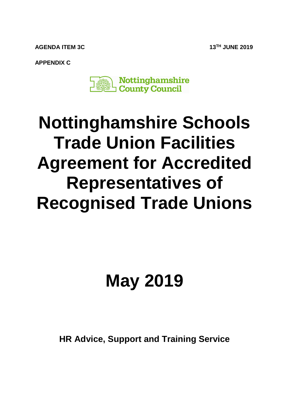**AGENDA ITEM 3C** 13<sup>TH</sup> JUNE 2019

**APPENDIX C** 



## **Nottinghamshire Schools Trade Union Facilities Agreement for Accredited Representatives of Recognised Trade Unions**

# **May 2019**

**HR Advice, Support and Training Service**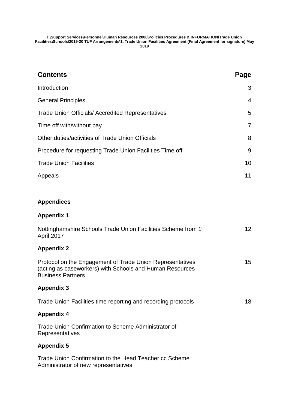**I:\Support Services\Personnel\Human Resources 2008\Policies Procedures & INFORMATION\Trade Union Facilities\Schools\2019-20 TUF Arrangements\1. Trade Union Facilities Agreement (Final Agreement for signature) May 2019** 

| <b>Contents</b>                                          | Page            |
|----------------------------------------------------------|-----------------|
| Introduction                                             | 3               |
| <b>General Principles</b>                                | 4               |
| <b>Trade Union Officials/ Accredited Representatives</b> | 5               |
| Time off with/without pay                                | $\overline{7}$  |
| Other duties/activities of Trade Union Officials         | 8               |
| Procedure for requesting Trade Union Facilities Time off | 9               |
| <b>Trade Union Facilities</b>                            | 10 <sup>°</sup> |
| Appeals                                                  | 11              |
|                                                          |                 |
| <b>Appendices</b>                                        |                 |

#### **Appendix 1**

| Nottinghamshire Schools Trade Union Facilities Scheme from 1 <sup>st</sup><br>April 2017                                                          | 12 <sup>2</sup> |
|---------------------------------------------------------------------------------------------------------------------------------------------------|-----------------|
| <b>Appendix 2</b>                                                                                                                                 |                 |
| Protocol on the Engagement of Trade Union Representatives<br>(acting as caseworkers) with Schools and Human Resources<br><b>Business Partners</b> | 15              |
| <b>Appendix 3</b>                                                                                                                                 |                 |
| Trade Union Facilities time reporting and recording protocols                                                                                     | 18              |
| <b>Appendix 4</b>                                                                                                                                 |                 |
| Trade Union Confirmation to Scheme Administrator of<br>Representatives                                                                            |                 |
| <b>Appendix 5</b>                                                                                                                                 |                 |
| Trade Union Confirmation to the Head Teacher cc Scheme                                                                                            |                 |

Administrator of new representatives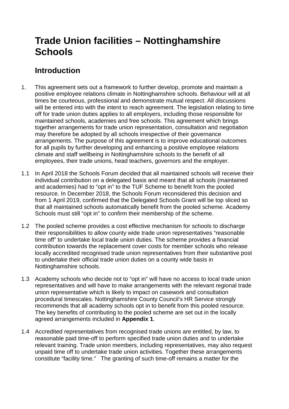## **Trade Union facilities – Nottinghamshire Schools**

## **Introduction**

- 1. This agreement sets out a framework to further develop, promote and maintain a positive employee relations climate in Nottinghamshire schools. Behaviour will at all times be courteous, professional and demonstrate mutual respect. All discussions will be entered into with the intent to reach agreement. The legislation relating to time off for trade union duties applies to all employers, including those responsible for maintained schools, academies and free schools. This agreement which brings together arrangements for trade union representation, consultation and negotiation may therefore be adopted by all schools irrespective of their governance arrangements. The purpose of this agreement is to improve educational outcomes for all pupils by further developing and enhancing a positive employee relations climate and staff wellbeing in Nottinghamshire schools to the benefit of all employees, their trade unions, head teachers, governors and the employer.
- 1.1 In April 2018 the Schools Forum decided that all maintained schools will receive their individual contribution on a delegated basis and meant that all schools (maintained and academies) had to "opt in" to the TUF Scheme to benefit from the pooled resource. In December 2018, the Schools Forum reconsidered this decision and from 1 April 2019, confirmed that the Delegated Schools Grant will be top sliced so that all maintained schools automatically benefit from the pooled scheme. Academy Schools must still "opt in" to confirm their membership of the scheme.
- 1.2 The pooled scheme provides a cost effective mechanism for schools to discharge their responsibilities to allow county wide trade union representatives "reasonable time off" to undertake local trade union duties. The scheme provides a financial contribution towards the replacement cover costs for member schools who release locally accredited recognised trade union representatives from their substantive post to undertake their official trade union duties on a county wide basis in Nottinghamshire schools.
- 1.3 Academy schools who decide not to "opt in" will have no access to local trade union representatives and will have to make arrangements with the relevant regional trade union representative which is likely to impact on casework and consultation procedural timescales. Nottinghamshire County Council's HR Service strongly recommends that all academy schools opt in to benefit from this pooled resource. The key benefits of contributing to the pooled scheme are set out in the locally agreed arrangements included in **Appendix 1**.
- 1.4 Accredited representatives from recognised trade unions are entitled, by law, to reasonable paid time-off to perform specified trade union duties and to undertake relevant training. Trade union members, including representatives, may also request unpaid time off to undertake trade union activities. Together these arrangements constitute "facility time." The granting of such time-off remains a matter for the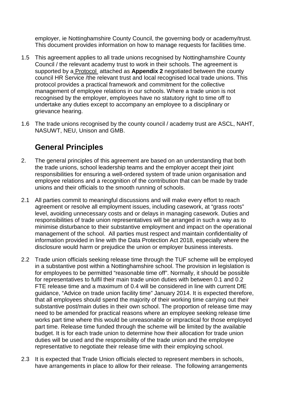employer, ie Nottinghamshire County Council, the governing body or academy/trust. This document provides information on how to manage requests for facilities time.

- 1.5 This agreement applies to all trade unions recognised by Nottinghamshire County Council / the relevant academy trust to work in their schools. The agreement is supported by a Protocol attached as **Appendix 2** negotiated between the county council HR Service /the relevant trust and local recognised local trade unions. This protocol provides a practical framework and commitment for the collective management of employee relations in our schools. Where a trade union is not recognised by the employer, employees have no statutory right to time off to undertake any duties except to accompany an employee to a disciplinary or grievance hearing.
- 1.6 The trade unions recognised by the county council / academy trust are ASCL, NAHT, NASUWT, NEU, Unison and GMB.

## **General Principles**

- 2. The general principles of this agreement are based on an understanding that both the trade unions, school leadership teams and the employer accept their joint responsibilities for ensuring a well-ordered system of trade union organisation and employee relations and a recognition of the contribution that can be made by trade unions and their officials to the smooth running of schools.
- 2.1 All parties commit to meaningful discussions and will make every effort to reach agreement or resolve all employment issues, including casework, at "grass roots" level, avoiding unnecessary costs and or delays in managing casework. Duties and responsibilities of trade union representatives will be arranged in such a way as to minimise disturbance to their substantive employment and impact on the operational management of the school. All parties must respect and maintain confidentiality of information provided in line with the Data Protection Act 2018, especially where the disclosure would harm or prejudice the union or employer business interests.
- 2.2 Trade union officials seeking release time through the TUF scheme will be employed in a substantive post within a Nottinghamshire school. The provision in legislation is for employees to be permitted "reasonable time off". Normally, it should be possible for representatives to fulfil their main trade union duties with between 0.1 and 0.2 FTE release time and a maximum of 0.4 will be considered in line with current DfE guidance, "Advice on trade union facility time" January 2014. It is expected therefore, that all employees should spend the majority of their working time carrying out their substantive post/main duties in their own school. The proportion of release time may need to be amended for practical reasons where an employee seeking release time works part time where this would be unreasonable or impractical for those employed part time. Release time funded through the scheme will be limited by the available budget. It is for each trade union to determine how their allocation for trade union duties will be used and the responsibility of the trade union and the employee representative to negotiate their release time with their employing school.
- 2.3 It is expected that Trade Union officials elected to represent members in schools, have arrangements in place to allow for their release. The following arrangements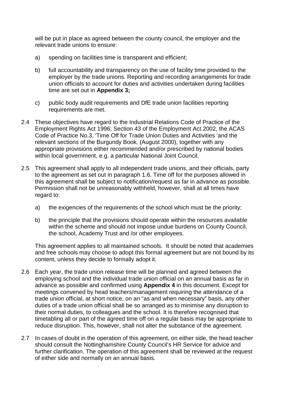will be put in place as agreed between the county council, the employer and the relevant trade unions to ensure:

- a) spending on facilities time is transparent and efficient;
- b) full accountability and transparency on the use of facility time provided to the employer by the trade unions. Reporting and recording arrangements for trade union officials to account for duties and activities undertaken during facilities time are set out in **Appendix 3;**
- c) public body audit requirements and DfE trade union facilities reporting requirements are met.
- 2.4 These objectives have regard to the Industrial Relations Code of Practice of the Employment Rights Act 1996; Section 43 of the Employment Act 2002, the ACAS Code of Practice No.3, 'Time Off for Trade Union Duties and Activities 'and the relevant sections of the Burgundy Book, (August 2000), together with any appropriate provisions either recommended and/or prescribed by national bodies within local government, e.g. a particular National Joint Council.
- 2.5 This agreement shall apply to all independent trade unions, and their officials, party to the agreement as set out in paragraph 1.6. Time off for the purposes allowed in this agreement shall be subject to notification/request as far in advance as possible. Permission shall not be unreasonably withheld, however, shall at all times have regard to:
	- a) the exigencies of the requirements of the school which must be the priority;
	- b) the principle that the provisions should operate within the resources available within the scheme and should not impose undue burdens on County Council, the school, Academy Trust and /or other employees.

This agreement applies to all maintained schools. It should be noted that academies and free schools may choose to adopt this formal agreement but are not bound by its content, unless they decide to formally adopt it.

- 2.6 Each year, the trade union release time will be planned and agreed between the employing school and the individual trade union official on an annual basis as far in advance as possible and confirmed using **Appendix 4** in this document. Except for meetings convened by head teachers/management requiring the attendance of a trade union official, at short notice, on an "as and when necessary" basis, any other duties of a trade union official shall be so arranged as to minimise any disruption to their normal duties, to colleagues and the school. It is therefore recognised that timetabling all or part of the agreed time off on a regular basis may be appropriate to reduce disruption. This, however, shall not alter the substance of the agreement.
- 2.7 In cases of doubt in the operation of this agreement, on either side, the head teacher should consult the Nottinghamshire County Council's HR Service for advice and further clarification. The operation of this agreement shall be reviewed at the request of either side and normally on an annual basis.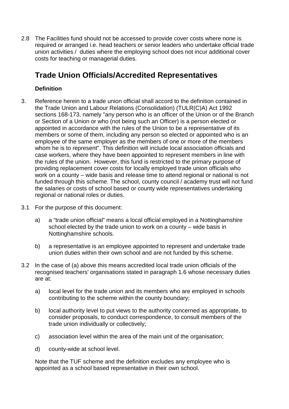2.8 The Facilities fund should not be accessed to provide cover costs where none is required or arranged i.e. head teachers or senior leaders who undertake official trade union activities / duties where the employing school does not incur additional cover costs for teaching or managerial duties.

## **Trade Union Officials/Accredited Representatives**

#### **Definition**

- 3. Reference herein to a trade union official shall accord to the definition contained in the Trade Union and Labour Relations (Consolidation) (TULR(C)A) Act 1992 sections 168-173, namely "any person who is an officer of the Union or of the Branch or Section of a Union or who (not being such an Officer) is a person elected or appointed in accordance with the rules of the Union to be a representative of its members or some of them, including any person so elected or appointed who is an employee of the same employer as the members of one or more of the members whom he is to represent". This definition will include local association officials and case workers, where they have been appointed to represent members in line with the rules of the union. However, this fund is restricted to the primary purpose of providing replacement cover costs for locally employed trade union officials who work on a county – wide basis and release time to attend regional or national is not funded through this scheme. The school, county council / academy trust will not fund the salaries or costs of school based or county wide representatives undertaking regional or national roles or duties.
- 3.1 For the purpose of this document:
	- a) a "trade union official" means a local official employed in a Nottinghamshire school elected by the trade union to work on a county – wide basis in Nottinghamshire schools.
	- b) a representative is an employee appointed to represent and undertake trade union duties within their own school and are not funded by this scheme.
- 3.2 In the case of (a) above this means accredited local trade union officials of the recognised teachers' organisations stated in paragraph 1.6 whose necessary duties are at:
	- a) local level for the trade union and its members who are employed in schools contributing to the scheme within the county boundary;
	- b) local authority level to put views to the authority concerned as appropriate, to consider proposals, to conduct correspondence, to consult members of the trade union individually or collectively;
	- c) association level within the area of the main unit of the organisation;
	- d) county-wide at school level.

Note that the TUF scheme and the definition excludes any employee who is appointed as a school based representative in their own school.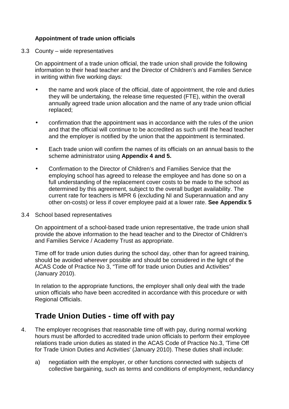#### **Appointment of trade union officials**

3.3 County – wide representatives

On appointment of a trade union official, the trade union shall provide the following information to their head teacher and the Director of Children's and Families Service in writing within five working days:

- the name and work place of the official, date of appointment, the role and duties they will be undertaking, the release time requested (FTE), within the overall annually agreed trade union allocation and the name of any trade union official replaced;
- confirmation that the appointment was in accordance with the rules of the union and that the official will continue to be accredited as such until the head teacher and the employer is notified by the union that the appointment is terminated.
- Each trade union will confirm the names of its officials on an annual basis to the scheme administrator using **Appendix 4 and 5.**
- Confirmation to the Director of Children's and Families Service that the employing school has agreed to release the employee and has done so on a full understanding of the replacement cover costs to be made to the school as determined by this agreement, subject to the overall budget availability. The current rate for teachers is MPR 6 (excluding NI and Superannuation and any other on-costs) or less if cover employee paid at a lower rate. **See Appendix 5**
- 3.4 School based representatives

On appointment of a school-based trade union representative, the trade union shall provide the above information to the head teacher and to the Director of Children's and Families Service / Academy Trust as appropriate.

Time off for trade union duties during the school day, other than for agreed training, should be avoided wherever possible and should be considered in the light of the ACAS Code of Practice No 3, "Time off for trade union Duties and Activities" (January 2010).

In relation to the appropriate functions, the employer shall only deal with the trade union officials who have been accredited in accordance with this procedure or with Regional Officials.

## **Trade Union Duties - time off with pay**

- 4. The employer recognises that reasonable time off with pay, during normal working hours must be afforded to accredited trade union officials to perform their employee relations trade union duties as stated in the ACAS Code of Practice No.3, 'Time Off for Trade Union Duties and Activities' (January 2010). These duties shall include:
	- a) negotiation with the employer, or other functions connected with subjects of collective bargaining, such as terms and conditions of employment, redundancy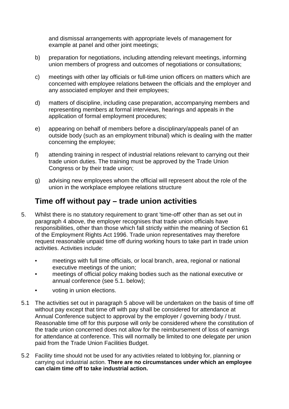and dismissal arrangements with appropriate levels of management for example at panel and other joint meetings;

- b) preparation for negotiations, including attending relevant meetings, informing union members of progress and outcomes of negotiations or consultations;
- c) meetings with other lay officials or full-time union officers on matters which are concerned with employee relations between the officials and the employer and any associated employer and their employees;
- d) matters of discipline, including case preparation, accompanying members and representing members at formal interviews, hearings and appeals in the application of formal employment procedures;
- e) appearing on behalf of members before a disciplinary/appeals panel of an outside body (such as an employment tribunal) which is dealing with the matter concerning the employee;
- f) attending training in respect of industrial relations relevant to carrying out their trade union duties. The training must be approved by the Trade Union Congress or by their trade union;
- g) advising new employees whom the official will represent about the role of the union in the workplace employee relations structure

## **Time off without pay – trade union activities**

- 5. Whilst there is no statutory requirement to grant 'time-off' other than as set out in paragraph 4 above, the employer recognises that trade union officials have responsibilities, other than those which fall strictly within the meaning of Section 61 of the Employment Rights Act 1996. Trade union representatives may therefore request reasonable unpaid time off during working hours to take part in trade union activities. Activities include:
	- meetings with full time officials, or local branch, area, regional or national executive meetings of the union;
	- meetings of official policy making bodies such as the national executive or annual conference (see 5.1. below);
	- voting in union elections.
- 5.1 The activities set out in paragraph 5 above will be undertaken on the basis of time off without pay except that time off with pay shall be considered for attendance at Annual Conference subject to approval by the employer / governing body / trust. Reasonable time off for this purpose will only be considered where the constitution of the trade union concerned does not allow for the reimbursement of loss of earnings for attendance at conference. This will normally be limited to one delegate per union paid from the Trade Union Facilities Budget.
- 5.2 Facility time should not be used for any activities related to lobbying for, planning or carrying out industrial action. **There are no circumstances under which an employee can claim time off to take industrial action.**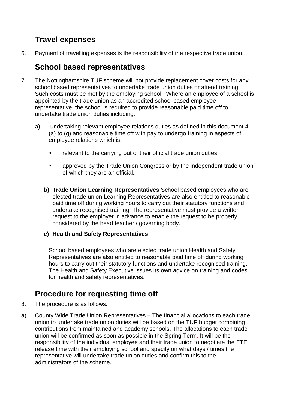## **Travel expenses**

6. Payment of travelling expenses is the responsibility of the respective trade union.

## **School based representatives**

- 7. The Nottinghamshire TUF scheme will not provide replacement cover costs for any school based representatives to undertake trade union duties or attend training. Such costs must be met by the employing school. Where an employee of a school is appointed by the trade union as an accredited school based employee representative, the school is required to provide reasonable paid time off to undertake trade union duties including:
	- a) undertaking relevant employee relations duties as defined in this document 4 (a) to (g) and reasonable time off with pay to undergo training in aspects of employee relations which is:
		- relevant to the carrying out of their official trade union duties;
		- approved by the Trade Union Congress or by the independent trade union of which they are an official.
		- **b) Trade Union Learning Representatives** School based employees who are elected trade union Learning Representatives are also entitled to reasonable paid time off during working hours to carry out their statutory functions and undertake recognised training. The representative must provide a written request to the employer in advance to enable the request to be properly considered by the head teacher / governing body.

#### **c) Health and Safety Representatives**

School based employees who are elected trade union Health and Safety Representatives are also entitled to reasonable paid time off during working hours to carry out their statutory functions and undertake recognised training. The Health and Safety Executive issues its own advice on training and codes for health and safety representatives.

## **Procedure for requesting time off**

- 8. The procedure is as follows:
- a) County Wide Trade Union Representatives The financial allocations to each trade union to undertake trade union duties will be based on the TUF budget combining contributions from maintained and academy schools. The allocations to each trade union will be confirmed as soon as possible in the Spring Term. It will be the responsibility of the individual employee and their trade union to negotiate the FTE release time with their employing school and specify on what days / times the representative will undertake trade union duties and confirm this to the administrators of the scheme.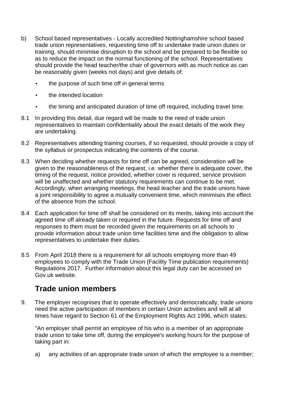- b) School based representatives Locally accredited Nottinghamshire school based trade union representatives, requesting time off to undertake trade union duties or training, should minimise disruption to the school and be prepared to be flexible so as to reduce the impact on the normal functioning of the school. Representatives should provide the head teacher/the chair of governors with as much notice as can be reasonably given (weeks not days) and give details of:
	- the purpose of such time off in general terms
	- the intended location
	- the timing and anticipated duration of time off required, including travel time.
- 8.1 In providing this detail, due regard will be made to the need of trade union representatives to maintain confidentiality about the exact details of the work they are undertaking.
- 8.2 Representatives attending training courses, if so requested, should provide a copy of the syllabus or prospectus indicating the contents of the course.
- 8.3 When deciding whether requests for time off can be agreed, consideration will be given to the reasonableness of the request, i.e. whether there is adequate cover, the timing of the request, notice provided, whether cover is required, service provision will be unaffected and whether statutory requirements can continue to be met. Accordingly, when arranging meetings, the head teacher and the trade unions have a joint responsibility to agree a mutually convenient time, which minimises the effect of the absence from the school.
- 8.4Each application for time off shall be considered on its merits, taking into account the agreed time off already taken or required in the future. Requests for time off and responses to them must be recorded given the requirements on all schools to provide information about trade union time facilities time and the obligation to allow representatives to undertake their duties.
- 8.5 From April 2018 there is a requirement for all schools employing more than 49 employees to comply with the Trade Union (Facility Time publication requirements) Regulations 2017. Further information about this legal duty can be accessed on Gov.uk website.

## **Trade union members**

9. The employer recognises that to operate effectively and democratically, trade unions need the active participation of members in certain Union activities and will at all times have regard to Section 61 of the Employment Rights Act 1996, which states:

"An employer shall permit an employee of his who is a member of an appropriate trade union to take time off, during the employee's working hours for the purpose of taking part in:

a) any activities of an appropriate trade union of which the employee is a member;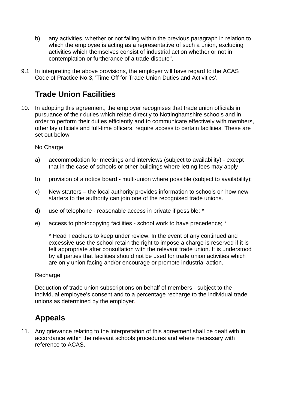- b) any activities, whether or not falling within the previous paragraph in relation to which the employee is acting as a representative of such a union, excluding activities which themselves consist of industrial action whether or not in contemplation or furtherance of a trade dispute".
- 9.1 In interpreting the above provisions, the employer will have regard to the ACAS Code of Practice No.3, 'Time Off for Trade Union Duties and Activities'.

## **Trade Union Facilities**

10. In adopting this agreement, the employer recognises that trade union officials in pursuance of their duties which relate directly to Nottinghamshire schools and in order to perform their duties efficiently and to communicate effectively with members, other lay officials and full-time officers, require access to certain facilities. These are set out below:

No Charge

- a) accommodation for meetings and interviews (subject to availability) except that in the case of schools or other buildings where letting fees may apply
- b) provision of a notice board multi-union where possible (subject to availability);
- c) New starters the local authority provides information to schools on how new starters to the authority can join one of the recognised trade unions.
- d) use of telephone reasonable access in private if possible; \*
- e) access to photocopying facilities school work to have precedence; \*

\* Head Teachers to keep under review. In the event of any continued and excessive use the school retain the right to impose a charge is reserved if it is felt appropriate after consultation with the relevant trade union. It is understood by all parties that facilities should not be used for trade union activities which are only union facing and/or encourage or promote industrial action.

#### Recharge

Deduction of trade union subscriptions on behalf of members - subject to the individual employee's consent and to a percentage recharge to the individual trade unions as determined by the employer.

## **Appeals**

11. Any grievance relating to the interpretation of this agreement shall be dealt with in accordance within the relevant schools procedures and where necessary with reference to ACAS.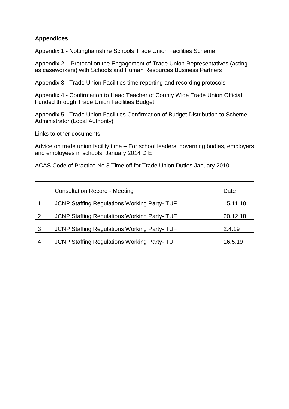#### **Appendices**

Appendix 1 - Nottinghamshire Schools Trade Union Facilities Scheme

Appendix 2 – Protocol on the Engagement of Trade Union Representatives (acting as caseworkers) with Schools and Human Resources Business Partners

Appendix 3 - Trade Union Facilities time reporting and recording protocols

Appendix 4 - Confirmation to Head Teacher of County Wide Trade Union Official Funded through Trade Union Facilities Budget

Appendix 5 - Trade Union Facilities Confirmation of Budget Distribution to Scheme Administrator (Local Authority)

Links to other documents:

Advice on trade union facility time – For school leaders, governing bodies, employers and employees in schools. January 2014 DfE

ACAS Code of Practice No 3 Time off for Trade Union Duties January 2010

|                | <b>Consultation Record - Meeting</b>               | Date     |
|----------------|----------------------------------------------------|----------|
|                | <b>JCNP Staffing Regulations Working Party-TUF</b> | 15.11.18 |
| $\overline{2}$ | <b>JCNP Staffing Regulations Working Party-TUF</b> | 20.12.18 |
| 3              | JCNP Staffing Regulations Working Party- TUF       | 2.4.19   |
| 4              | <b>JCNP Staffing Regulations Working Party-TUF</b> | 16.5.19  |
|                |                                                    |          |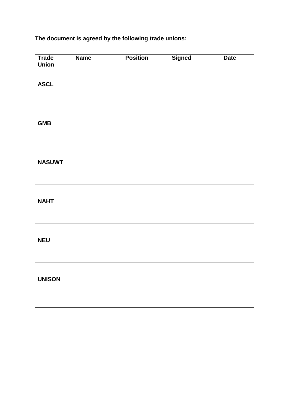**The document is agreed by the following trade unions:** 

| <b>Trade</b><br><b>Union</b> | <b>Name</b> | <b>Position</b> | <b>Signed</b> | <b>Date</b> |
|------------------------------|-------------|-----------------|---------------|-------------|
|                              |             |                 |               |             |
| <b>ASCL</b>                  |             |                 |               |             |
|                              |             |                 |               |             |
|                              |             |                 |               |             |
| <b>GMB</b>                   |             |                 |               |             |
|                              |             |                 |               |             |
|                              |             |                 |               |             |
| <b>NASUWT</b>                |             |                 |               |             |
|                              |             |                 |               |             |
|                              |             |                 |               |             |
| <b>NAHT</b>                  |             |                 |               |             |
|                              |             |                 |               |             |
|                              |             |                 |               |             |
| <b>NEU</b>                   |             |                 |               |             |
|                              |             |                 |               |             |
|                              |             |                 |               |             |
| <b>UNISON</b>                |             |                 |               |             |
|                              |             |                 |               |             |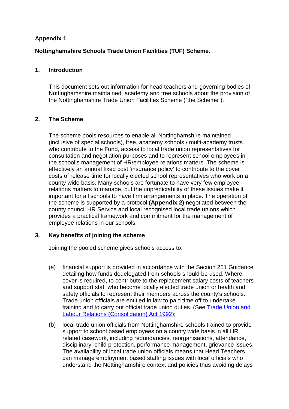#### **Appendix 1**

#### **Nottinghamshire Schools Trade Union Facilities (TUF) Scheme.**

#### **1. Introduction**

This document sets out information for head teachers and governing bodies of Nottinghamshire maintained, academy and free schools about the provision of the Nottinghamshire Trade Union Facilities Scheme ("the Scheme").

#### **2. The Scheme**

The scheme pools resources to enable all Nottinghamshire maintained (inclusive of special schools), free, academy schools / multi-academy trusts who contribute to the Fund, access to local trade union representatives for consultation and negotiation purposes and to represent school employees in the school's management of HR/employee relations matters. The scheme is effectively an annual fixed cost 'insurance policy' to contribute to the cover costs of release time for locally elected school representatives who work on a county wide basis. Many schools are fortunate to have very few employee relations matters to manage, but the unpredictability of these issues make it important for all schools to have firm arrangements in place. The operation of the scheme is supported by a protocol **(Appendix 2)** negotiated between the county council HR Service and local recognised local trade unions which provides a practical framework and commitment for the management of employee relations in our schools.

#### **3. Key benefits of joining the scheme**

Joining the pooled scheme gives schools access to:

- (a) financial support is provided in accordance with the Section 251 Guidance detailing how funds dedelegated from schools should be used. Where cover is required, to contribute to the replacement salary costs of teachers and support staff who become locally elected trade union or health and safety officials to represent their members across the county's schools. Trade union officials are entitled in law to paid time off to undertake training and to carry out official trade union duties. (See Trade Union and Labour Relations (Consolidation) Act 1992);
- (b) local trade union officials from Nottinghamshire schools trained to provide support to school based employees on a county wide basis in all HR related casework, including redundancies, reorganisations, attendance, disciplinary, child protection, performance management, grievance issues. The availability of local trade union officials means that Head Teachers can manage employment based staffing issues with local officials who understand the Nottinghamshire context and policies thus avoiding delays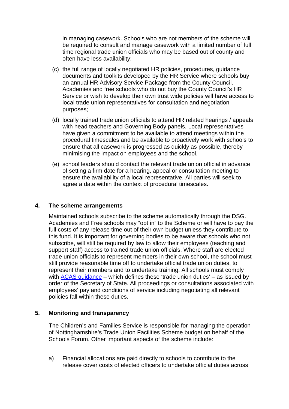in managing casework. Schools who are not members of the scheme will be required to consult and manage casework with a limited number of full time regional trade union officials who may be based out of county and often have less availability;

- (c) the full range of locally negotiated HR policies, procedures, guidance documents and toolkits developed by the HR Service where schools buy an annual HR Advisory Service Package from the County Council. Academies and free schools who do not buy the County Council's HR Service or wish to develop their own trust wide policies will have access to local trade union representatives for consultation and negotiation purposes;
- (d) locally trained trade union officials to attend HR related hearings / appeals with head teachers and Governing Body panels. Local representatives have given a commitment to be available to attend meetings within the procedural timescales and be available to proactively work with schools to ensure that all casework is progressed as quickly as possible, thereby minimising the impact on employees and the school.
- (e) school leaders should contact the relevant trade union official in advance of setting a firm date for a hearing, appeal or consultation meeting to ensure the availability of a local representative. All parties will seek to agree a date within the context of procedural timescales.

#### **4. The scheme arrangements**

Maintained schools subscribe to the scheme automatically through the DSG. Academies and Free schools may "opt in" to the Scheme or will have to pay the full costs of any release time out of their own budget unless they contribute to this fund. It is important for governing bodies to be aware that schools who not subscribe, will still be required by law to allow their employees (teaching and support staff) access to trained trade union officials. Where staff are elected trade union officials to represent members in their own school, the school must still provide reasonable time off to undertake official trade union duties, to represent their members and to undertake training. All schools must comply with  $ACAS$  guidance – which defines these 'trade union duties' – as issued by order of the Secretary of State. All proceedings or consultations associated with employees' pay and conditions of service including negotiating all relevant policies fall within these duties.

#### **5. Monitoring and transparency**

The Children's and Families Service is responsible for managing the operation of Nottinghamshire's Trade Union Facilities Scheme budget on behalf of the Schools Forum. Other important aspects of the scheme include:

a) Financial allocations are paid directly to schools to contribute to the release cover costs of elected officers to undertake official duties across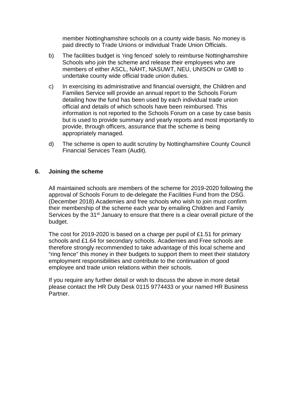member Nottinghamshire schools on a county wide basis. No money is paid directly to Trade Unions or individual Trade Union Officials.

- b) The facilities budget is 'ring fenced' solely to reimburse Nottinghamshire Schools who join the scheme and release their employees who are members of either ASCL, NAHT, NASUWT, NEU, UNISON or GMB to undertake county wide official trade union duties.
- c) In exercising its administrative and financial oversight, the Children and Families Service will provide an annual report to the Schools Forum detailing how the fund has been used by each individual trade union official and details of which schools have been reimbursed. This information is not reported to the Schools Forum on a case by case basis but is used to provide summary and yearly reports and most importantly to provide, through officers, assurance that the scheme is being appropriately managed.
- d) The scheme is open to audit scrutiny by Nottinghamshire County Council Financial Services Team (Audit).

#### **6. Joining the scheme**

All maintained schools are members of the scheme for 2019-2020 following the approval of Schools Forum to de-delegate the Facilities Fund from the DSG. (December 2018) Academies and free schools who wish to join must confirm their membership of the scheme each year by emailing Children and Family Services by the 31<sup>st</sup> January to ensure that there is a clear overall picture of the budget.

The cost for 2019-2020 is based on a charge per pupil of £1.51 for primary schools and £1.64 for secondary schools. Academies and Free schools are therefore strongly recommended to take advantage of this local scheme and "ring fence" this money in their budgets to support them to meet their statutory employment responsibilities and contribute to the continuation of good employee and trade union relations within their schools.

If you require any further detail or wish to discuss the above in more detail please contact the HR Duty Desk 0115 9774433 or your named HR Business Partner.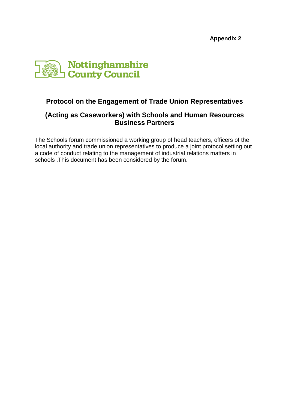**Appendix 2** 



### **Protocol on the Engagement of Trade Union Representatives**

#### **(Acting as Caseworkers) with Schools and Human Resources Business Partners**

The Schools forum commissioned a working group of head teachers, officers of the local authority and trade union representatives to produce a joint protocol setting out a code of conduct relating to the management of industrial relations matters in schools .This document has been considered by the forum.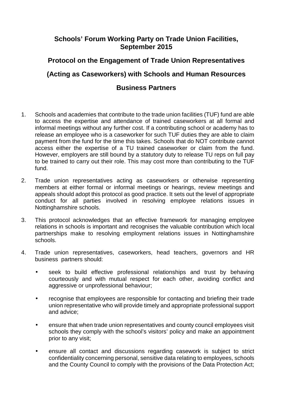#### **Schools' Forum Working Party on Trade Union Facilities, September 2015**

## **Protocol on the Engagement of Trade Union Representatives (Acting as Caseworkers) with Schools and Human Resources**

#### **Business Partners**

- 1. Schools and academies that contribute to the trade union facilities (TUF) fund are able to access the expertise and attendance of trained caseworkers at all formal and informal meetings without any further cost. If a contributing school or academy has to release an employee who is a caseworker for such TUF duties they are able to claim payment from the fund for the time this takes. Schools that do NOT contribute cannot access either the expertise of a TU trained caseworker or claim from the fund. However, employers are still bound by a statutory duty to release TU reps on full pay to be trained to carry out their role. This may cost more than contributing to the TUF fund.
- 2. Trade union representatives acting as caseworkers or otherwise representing members at either formal or informal meetings or hearings, review meetings and appeals should adopt this protocol as good practice. It sets out the level of appropriate conduct for all parties involved in resolving employee relations issues in Nottinghamshire schools.
- 3. This protocol acknowledges that an effective framework for managing employee relations in schools is important and recognises the valuable contribution which local partnerships make to resolving employment relations issues in Nottinghamshire schools.
- 4. Trade union representatives, caseworkers, head teachers, governors and HR business partners should:
	- seek to build effective professional relationships and trust by behaving courteously and with mutual respect for each other, avoiding conflict and aggressive or unprofessional behaviour;
	- recognise that employees are responsible for contacting and briefing their trade union representative who will provide timely and appropriate professional support and advice;
	- ensure that when trade union representatives and county council employees visit schools they comply with the school's visitors' policy and make an appointment prior to any visit;
	- ensure all contact and discussions regarding casework is subject to strict confidentiality concerning personal, sensitive data relating to employees, schools and the County Council to comply with the provisions of the Data Protection Act;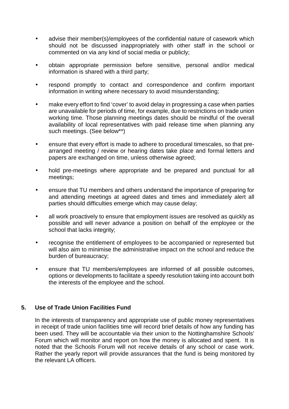- advise their member(s)/employees of the confidential nature of casework which should not be discussed inappropriately with other staff in the school or commented on via any kind of social media or publicly;
- obtain appropriate permission before sensitive, personal and/or medical information is shared with a third party;
- respond promptly to contact and correspondence and confirm important information in writing where necessary to avoid misunderstanding;
- make every effort to find 'cover' to avoid delay in progressing a case when parties are unavailable for periods of time, for example, due to restrictions on trade union working time. Those planning meetings dates should be mindful of the overall availability of local representatives with paid release time when planning any such meetings. (See below\*\*)
- ensure that every effort is made to adhere to procedural timescales, so that prearranged meeting / review or hearing dates take place and formal letters and papers are exchanged on time, unless otherwise agreed;
- hold pre-meetings where appropriate and be prepared and punctual for all meetings;
- ensure that TU members and others understand the importance of preparing for and attending meetings at agreed dates and times and immediately alert all parties should difficulties emerge which may cause delay;
- all work proactively to ensure that employment issues are resolved as quickly as possible and will never advance a position on behalf of the employee or the school that lacks integrity;
- recognise the entitlement of employees to be accompanied or represented but will also aim to minimise the administrative impact on the school and reduce the burden of bureaucracy;
- ensure that TU members/employees are informed of all possible outcomes, options or developments to facilitate a speedy resolution taking into account both the interests of the employee and the school.

#### **5. Use of Trade Union Facilities Fund**

In the interests of transparency and appropriate use of public money representatives in receipt of trade union facilities time will record brief details of how any funding has been used. They will be accountable via their union to the Nottinghamshire Schools' Forum which will monitor and report on how the money is allocated and spent. It is noted that the Schools Forum will not receive details of any school or case work. Rather the yearly report will provide assurances that the fund is being monitored by the relevant LA officers.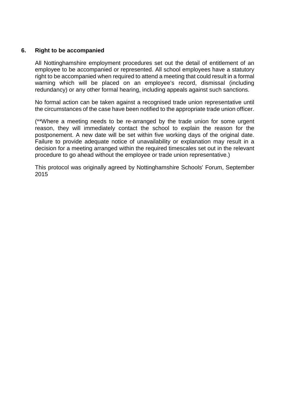#### **6. Right to be accompanied**

All Nottinghamshire employment procedures set out the detail of entitlement of an employee to be accompanied or represented. All school employees have a statutory right to be accompanied when required to attend a meeting that could result in a formal warning which will be placed on an employee's record, dismissal (including redundancy) or any other formal hearing, including appeals against such sanctions.

No formal action can be taken against a recognised trade union representative until the circumstances of the case have been notified to the appropriate trade union officer.

(\*\*Where a meeting needs to be re-arranged by the trade union for some urgent reason, they will immediately contact the school to explain the reason for the postponement. A new date will be set within five working days of the original date. Failure to provide adequate notice of unavailability or explanation may result in a decision for a meeting arranged within the required timescales set out in the relevant procedure to go ahead without the employee or trade union representative.)

This protocol was originally agreed by Nottinghamshire Schools' Forum, September 2015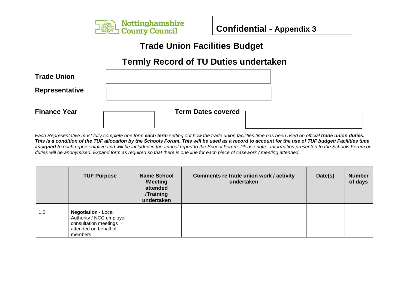

## **Trade Union Facilities Budget**

## **Termly Record of TU Duties undertaken**

| <b>Trade Union</b>    |                           |  |  |
|-----------------------|---------------------------|--|--|
| <b>Representative</b> |                           |  |  |
| <b>Finance Year</b>   | <b>Term Dates covered</b> |  |  |

Each Representative must fully complete one form **each term** setting out how the trade union facilities time has been used on official **trade union duties. This is a condition of the TUF allocation by the Schools Forum. This will be used as a record to account for the use of TUF budget/ Facilities time** assigned to each representative and will be included in the annual report to the School Forum. Please note: Information presented to the Schools Forum on duties will be anonymised. Expand form as required so that there is one line for each piece of casework / meeting attended.

|     | <b>TUF Purpose</b>                                                                                                  | <b>Name School</b><br>/Meeting<br>attended<br><b>/Training</b><br>undertaken | Comments re trade union work / activity<br>undertaken | Date(s) | <b>Number</b><br>of days |
|-----|---------------------------------------------------------------------------------------------------------------------|------------------------------------------------------------------------------|-------------------------------------------------------|---------|--------------------------|
| 1.0 | <b>Negotiation - Local</b><br>Authority / NCC employer<br>consultation meetings<br>attended on behalf of<br>members |                                                                              |                                                       |         |                          |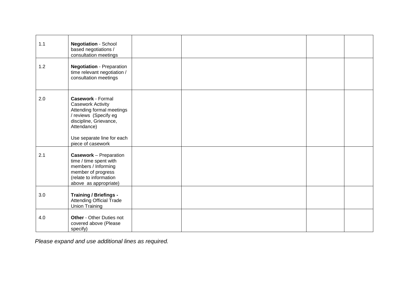| 1.1   | <b>Negotiation - School</b><br>based negotiations /<br>consultation meetings                                                                                                                           |  |  |
|-------|--------------------------------------------------------------------------------------------------------------------------------------------------------------------------------------------------------|--|--|
| $1.2$ | <b>Negotiation - Preparation</b><br>time relevant negotiation /<br>consultation meetings                                                                                                               |  |  |
| 2.0   | <b>Casework - Formal</b><br><b>Casework Activity</b><br>Attending formal meetings<br>/ reviews (Specify eg<br>discipline, Grievance,<br>Attendance)<br>Use separate line for each<br>piece of casework |  |  |
| 2.1   | <b>Casework</b> - Preparation<br>time / time spent with<br>members / Informing<br>member of progress<br>(relate to information<br>above as appropriate)                                                |  |  |
| 3.0   | <b>Training / Briefings -</b><br>Attending Official Trade<br><b>Union Training</b>                                                                                                                     |  |  |
| 4.0   | Other - Other Duties not<br>covered above (Please<br>specify)                                                                                                                                          |  |  |

Please expand and use additional lines as required.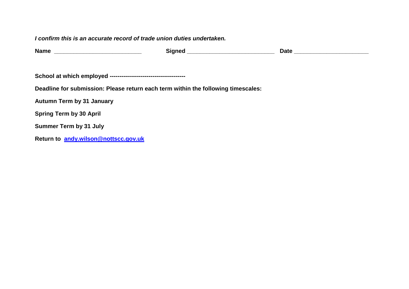#### **I confirm this is an accurate record of trade union duties undertaken.**

|                                                                                   | <b>Date</b> |  |
|-----------------------------------------------------------------------------------|-------------|--|
|                                                                                   |             |  |
|                                                                                   |             |  |
| Deadline for submission: Please return each term within the following timescales: |             |  |
| <b>Autumn Term by 31 January</b>                                                  |             |  |
| <b>Spring Term by 30 April</b>                                                    |             |  |
| <b>Summer Term by 31 July</b>                                                     |             |  |
| Return to andy.wilson@nottscc.gov.uk                                              |             |  |
|                                                                                   |             |  |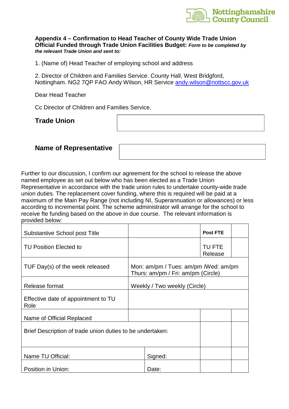

#### **Appendix 4 – Confirmation to Head Teacher of County Wide Trade Union Official Funded through Trade Union Facilities Budget: Form to be completed by the relevant Trade Union and sent to:**

1. (Name of) Head Teacher of employing school and address

2. Director of Children and Families Service. County Hall, West Bridgford, Nottingham. NG2 7QP FAO Andy Wilson, HR Service andy.wilson@nottscc.gov.uk

Dear Head Teacher

Cc Director of Children and Families Service,

**Trade Union** 

#### **Name of Representative**

Further to our discussion, I confirm our agreement for the school to release the above named employee as set out below who has been elected as a Trade Union Representative in accordance with the trade union rules to undertake county-wide trade union duties. The replacement cover funding, where this is required will be paid at a maximum of the Main Pay Range (not including NI, Superannuation or allowances) or less according to incremental point. The scheme administrator will arrange for the school to receive fte funding based on the above in due course. The relevant information is provided below:

| <b>Substantive School post Title</b>                      |                                                                             | <b>Post FTE</b>   |  |
|-----------------------------------------------------------|-----------------------------------------------------------------------------|-------------------|--|
| <b>TU Position Elected to</b>                             |                                                                             | TU FTE<br>Release |  |
| TUF Day(s) of the week released                           | Mon: am/pm / Tues: am/pm / Wed: am/pm<br>Thurs: am/pm / Fri: am/pm (Circle) |                   |  |
| Release format                                            | Weekly / Two weekly (Circle)                                                |                   |  |
| Effective date of appointment to TU<br>Role               |                                                                             |                   |  |
| Name of Official Replaced                                 |                                                                             |                   |  |
| Brief Description of trade union duties to be undertaken: |                                                                             |                   |  |
| Name TU Official:                                         | Signed:                                                                     |                   |  |
| Position in Union:                                        | Date:                                                                       |                   |  |